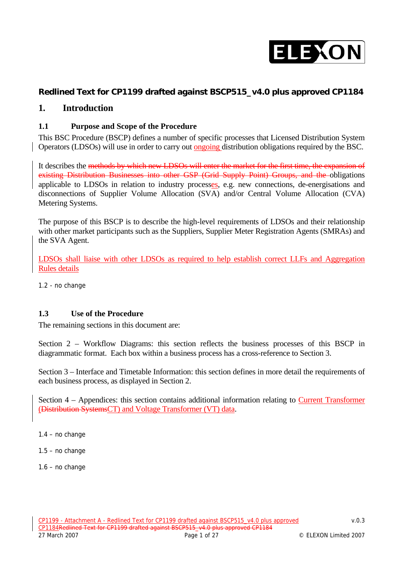

# **Redlined Text for CP1199 drafted against BSCP515\_v4.0 plus approved CP1184**

## **1. Introduction**

## **1.1 Purpose and Scope of the Procedure**

This BSC Procedure (BSCP) defines a number of specific processes that Licensed Distribution System Operators (LDSOs) will use in order to carry out ongoing distribution obligations required by the BSC.

It describes the methods by which new LDSOs will enter the market for the first time, the expansion of existing Distribution Businesses into other GSP (Grid Supply Point) Groups, and the obligations applicable to LDSOs in relation to industry processes, e.g. new connections, de-energisations and disconnections of Supplier Volume Allocation (SVA) and/or Central Volume Allocation (CVA) Metering Systems.

The purpose of this BSCP is to describe the high-level requirements of LDSOs and their relationship with other market participants such as the Suppliers, Supplier Meter Registration Agents (SMRAs) and the SVA Agent.

LDSOs shall liaise with other LDSOs as required to help establish correct LLFs and Aggregation Rules details

1.2 - no change

## **1.3 Use of the Procedure**

The remaining sections in this document are:

Section 2 – Workflow Diagrams: this section reflects the business processes of this BSCP in diagrammatic format. Each box within a business process has a cross-reference to Section 3.

Section 3 – Interface and Timetable Information: this section defines in more detail the requirements of each business process, as displayed in Section 2.

Section 4 – Appendices: this section contains additional information relating to Current Transformer (Distribution SystemsCT) and Voltage Transformer (VT) data.

1.4 – no change

1.5 – no change

1.6 – no change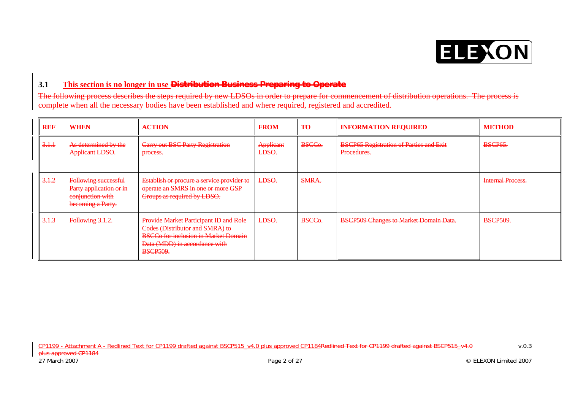

#### **3.1This section is no longer in use Distribution Business Preparing to Operate**

The following process describes the steps required by new LDSOs in order to prepare for commencement of distribution operations. The process is complete when all the necessary bodies have been established and where required, registered and accredited.

| <b>REF</b> | <b>WHEN</b>                                                                              | <b>ACTION</b>                                                                                                                                                                | <b>FROM</b>               | <b>TO</b>    | <b>INFORMATION REQUIRED</b>                                   | <b>METHOD</b>            |
|------------|------------------------------------------------------------------------------------------|------------------------------------------------------------------------------------------------------------------------------------------------------------------------------|---------------------------|--------------|---------------------------------------------------------------|--------------------------|
| 3.1.1      | As determined by the<br><b>Applicant LDSO.</b>                                           | <b>Carry out BSC Party Registration</b><br>process.                                                                                                                          | <b>Applicant</b><br>LDSO. | BSCCo.       | <b>BSCP65 Registration of Parties and Exit</b><br>Procedures. | BSCP <sub>65</sub> .     |
| 3.1.2      | Following successful<br>Party application or in<br>conjunction with<br>becoming a Party. | Establish or procure a service provider to<br>operate an SMRS in one or more GSP<br>Groups as required by LDSO.                                                              | LDSO.                     | <b>SMRA.</b> |                                                               | <b>Internal Process.</b> |
| 3.1.3      | Following 3.1.2.                                                                         | Provide Market Participant ID and Role<br>Codes (Distributor and SMRA) to<br><b>BSCCo for inclusion in Market Domain</b><br>Data (MDD) in accordance with<br><b>BSCP509.</b> | LDSO.                     | BSCCo.       | <b>BSCP509 Changes to Market Domain Data.</b>                 | <b>BSCP509.</b>          |

CP1199 - Attachment A - Redlined Text for CP1199 drafted against BSCP515\_v4.0 plus approved CP1184Redlined Text for CP1199 drafted against BSCP515\_v4.0 plus approved CP1184 27 March 2007 Page 2 of 27 © ELEXON Limited 2007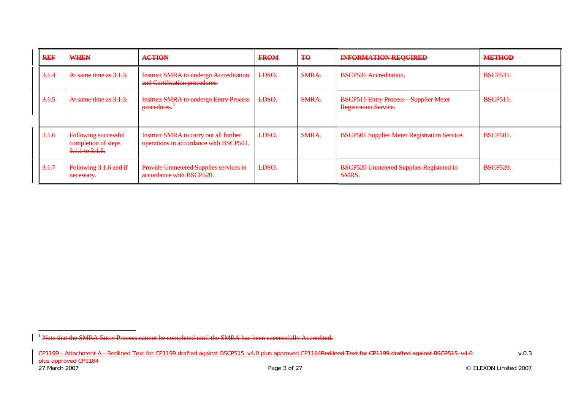| REF   | WHEN                                                                | <b>ACTION</b>                                                                           | <b>FROM</b> | <b>TO</b>    | <b>INFORMATION REQUIRED</b>                                                 | <b>METHOD</b>   |
|-------|---------------------------------------------------------------------|-----------------------------------------------------------------------------------------|-------------|--------------|-----------------------------------------------------------------------------|-----------------|
| 3.1.4 | At same time as 3.1.3.                                              | <b>Instruct SMRA to undergo Accreditation</b><br>and Certification procedures.          | LDSO.       | <b>SMRA.</b> | <b>BSCP531 Accreditation.</b>                                               | <b>BSCP531.</b> |
| 3.1.5 | At same time as 3.1.3.                                              | <b>Instruct SMRA to undergo Entry Process</b><br>procedures. <sup>+</sup>               | LDSO.       | <b>SMRA.</b> | <b>BSCP511 Entry Process Supplier Meter</b><br><b>Registration Service.</b> | <b>BSCP511.</b> |
| 3.1.6 | Following successful<br>completion of steps<br>$3.1.1$ to $3.1.5$ . | <b>Instruct SMRA to carry out all further</b><br>operations in accordance with BSCP501. | LDSO.       | <b>SMRA.</b> | <b>BSCP501 Supplier Meter Registration Service.</b>                         | <b>BSCP501.</b> |
| 3.1.7 | Following 3.1.6 and if<br>necessary.                                | <b>Provide Unmetered Supplies services in</b><br>accordance with BSCP520.               | LDSO.       |              | <b>BSCP520 Unmetered Supplies Registered in</b><br>SMRS.                    | <b>BSCP520.</b> |

<span id="page-2-0"></span> $^{1}$  Note that the SMRA Entry Process cannot be completed until the SMRA has been successfully Accredited.

CP1199 - Attachment A - Redlined Text for CP1199 drafted against BSCP515\_v4.0 plus approved CP1184Redlined Text for CP1199 drafted against BSCP515\_v4.0 plus approved CP1184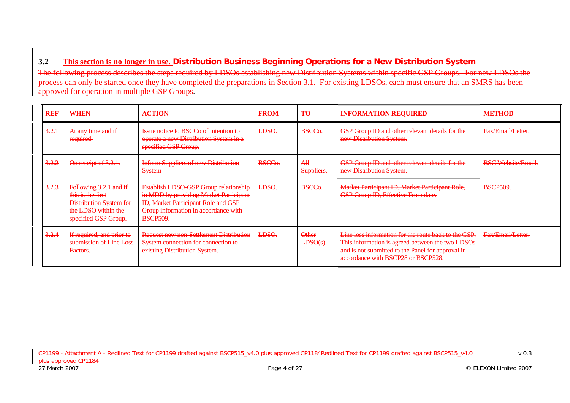#### **3.2This section is no longer in use. Distribution Business Beginning Operations for a New Distribution System**

The following process describes the steps required by LDSOs establishing new Distribution Systems within specific GSP Groups. For new LDSOs the process can only be started once they have completed the preparations in Section 3.1. For existing LDSOs, each must ensure that an SMRS has been approved for operation in multiple GSP Groups.

| <b>REF</b> | WHEN                                                                                                                  | <b>ACTION</b>                                                                                                                                                                            | <b>FROM</b> | Ŧθ                          | INFORMATION REQUIRED                                                                                                                                                                                | METHOD                    |
|------------|-----------------------------------------------------------------------------------------------------------------------|------------------------------------------------------------------------------------------------------------------------------------------------------------------------------------------|-------------|-----------------------------|-----------------------------------------------------------------------------------------------------------------------------------------------------------------------------------------------------|---------------------------|
| 3.2.1      | At any time and if<br>required.                                                                                       | <b>Issue notice to BSCCo of intention to</b><br>operate a new Distribution System in a<br>specified GSP Group.                                                                           | LDSO.       | BSCCo.                      | <b>GSP Group ID and other relevant details for the</b><br>new Distribution System.                                                                                                                  | Fax/Email/Letter.         |
| 3.2.2      | On receipt of 3.2.1.                                                                                                  | <b>Inform Suppliers of new Distribution</b><br><b>System</b>                                                                                                                             | BSCCo.      | AH<br>Suppliers.            | <b>GSP Group ID and other relevant details for the</b><br>new Distribution System.                                                                                                                  | <b>BSC Website/Email.</b> |
| 3.2.3      | Following 3.2.1 and if<br>this is the first<br>Distribution System for<br>the LDSO within the<br>specified GSP Group. | <b>Establish LDSO GSP Group relationship</b><br>in MDD by providing Market Participant<br>ID, Market Participant Role and GSP<br>Group information in accordance with<br><b>BSCP509.</b> | LDSO.       | BSCCo.                      | Market Participant ID, Market Participant Role,<br><b>GSP Group ID, Effective From date.</b>                                                                                                        | <b>BSCP509.</b>           |
| 3.2.4      | If required, and prior to<br>submission of Line Loss<br>Factors.                                                      | <b>Request new non Settlement Distribution</b><br>System connection for connection to<br>existing Distribution System.                                                                   | LDSO.       | <b>Other</b><br>$EDSO(s)$ . | Line loss information for the route back to the GSP.<br>This information is agreed between the two LDSOs<br>and is not submitted to the Panel for approval in<br>accordance with BSCP28 or BSCP528. | Fax/Email/Letter.         |

CP1199 - Attachment A - Redlined Text for CP1199 drafted against BSCP515\_v4.0 plus approved CP1184Redlined Text for CP1199 drafted against BSCP515\_v4.0 plus approved CP1184<br>27 March 2007 Page 4 of 27 © ELEXON Limited 2007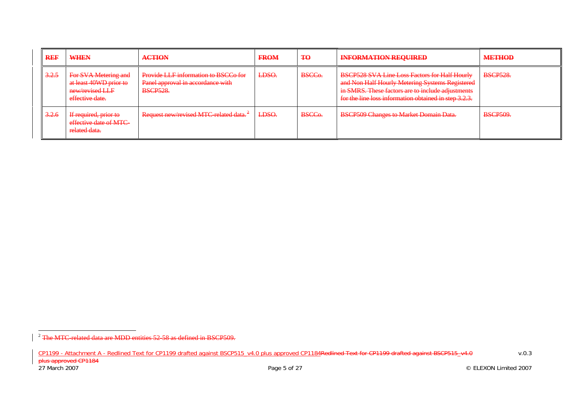| <b>REF</b> | <b>MATIEN</b><br><b>THEFT</b>                                                        | <b>A CTION</b><br>2010年10月                                                                   | <b>FROM</b> | <b>TO</b> | <b>INFORMATION REQUEED</b><br>------------------------------                                                                                                                                                          | <b>METHOD</b>   |
|------------|--------------------------------------------------------------------------------------|----------------------------------------------------------------------------------------------|-------------|-----------|-----------------------------------------------------------------------------------------------------------------------------------------------------------------------------------------------------------------------|-----------------|
| 3.2.5      | For SVA Metering and<br>at least 40WD prior to<br>new/revised LLF<br>effective date. | Provide LLF information to BSCCo for<br>Panel approval in accordance with<br><b>BSCP528.</b> | LDSO.       | BSCCo.    | <b>BSCP528 SVA Line Loss Factors for Half Hourly</b><br>and Non Half Hourly Metering Systems Registered<br>in SMRS. These factors are to include adjustments<br>for the line loss information obtained in step 3.2.3. | <b>BSCP528.</b> |
| 3,2.6      | If required, prior to<br>effective date of MTC<br>related data.                      | Request new/revised MTC related data.                                                        | LDSO.       | BSCCo.    | <b>BSCP509 Changes to Market Domain Data.</b>                                                                                                                                                                         | <b>BSCP509.</b> |

<sup>&</sup>lt;sup>2</sup> The MTC-related data are MDD entities 52-58 as defined in BSCP509.

CP1199 - Attachment A - Redlined Text for CP1199 drafted against BSCP515\_v4.0 plus approved CP1184Redlined Text for CP1199 drafted against BSCP515\_v4.0 plus approved CP1184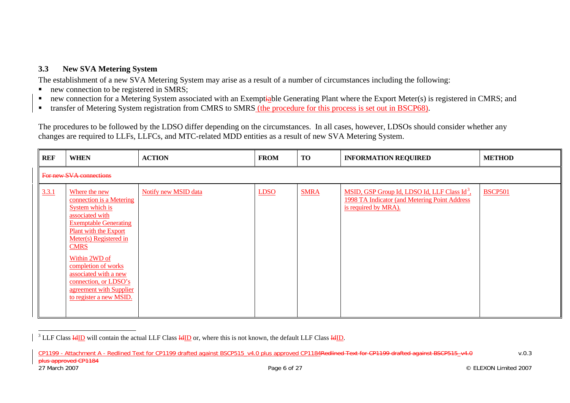#### **3.3New SVA Metering System**

The establishment of a new SVA Metering System may arise as a result of a number of circumstances including the following:

- $\blacksquare$ new connection to be registered in SMRS;
- $\blacksquare$ new connection for a Metering System associated with an Exemptiable Generating Plant where the Export Meter(s) is registered in CMRS; and
- $\blacksquare$ transfer of Metering System registration from CMRS to SMRS (the procedure for this process is set out in BSCP68).

The procedures to be followed by the LDSO differ depending on the circumstances. In all cases, however, LDSOs should consider whether any changes are required to LLFs, LLFCs, and MTC-related MDD entities as a result of new SVA Metering System.

| <b>REF</b> | <b>WHEN</b>                                                                                                                                                                                                                                                                                                                              | <b>ACTION</b>               | <b>FROM</b> | <b>TO</b>   | <b>INFORMATION REQUIRED</b>                                                                                                 | <b>METHOD</b>  |  |  |  |  |
|------------|------------------------------------------------------------------------------------------------------------------------------------------------------------------------------------------------------------------------------------------------------------------------------------------------------------------------------------------|-----------------------------|-------------|-------------|-----------------------------------------------------------------------------------------------------------------------------|----------------|--|--|--|--|
|            | For new SVA connections                                                                                                                                                                                                                                                                                                                  |                             |             |             |                                                                                                                             |                |  |  |  |  |
| 3.3.1      | Where the new<br>connection is a Metering<br>System which is<br>associated with<br><b>Exemptable Generating</b><br><b>Plant with the Export</b><br>Meter(s) Registered in<br><b>CMRS</b><br>Within 2WD of<br>completion of works<br>associated with a new<br>connection, or LDSO's<br>agreement with Supplier<br>to register a new MSID. | <b>Notify new MSID data</b> | <b>LDSO</b> | <b>SMRA</b> | MSID, GSP Group Id, LDSO Id, LLF Class $Id_2^3$ ,<br>1998 TA Indicator (and Metering Point Address)<br>is required by MRA). | <b>BSCP501</b> |  |  |  |  |

<sup>&</sup>lt;sup>3</sup> LLF Class HID will contain the actual LLF Class HID or, where this is not known, the default LLF Class HID.

CP1199 - Attachment A - Redlined Text for CP1199 drafted against BSCP515\_v4.0 plus approved CP1184Redlined Text for CP1199 drafted against BSCP515\_v4.0 plus approved CP1184<br>27 March 2007 27 March 2007 Page 6 of 27 © ELEXON Limited 2007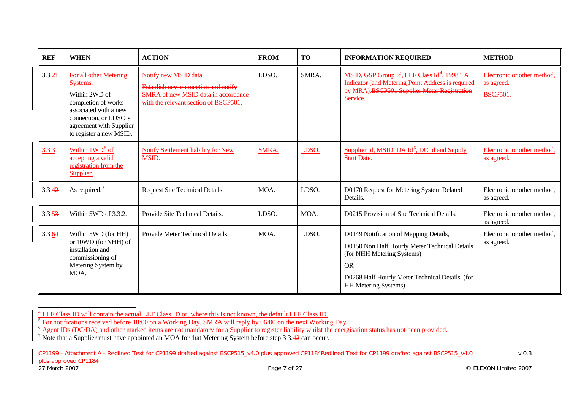| <b>REF</b> | <b>WHEN</b>                                                                                                                                                                        | <b>ACTION</b>                                                                                                                                       | <b>FROM</b> | <b>TO</b> | <b>INFORMATION REQUIRED</b>                                                                                                                                                                                    | <b>METHOD</b>                                                |
|------------|------------------------------------------------------------------------------------------------------------------------------------------------------------------------------------|-----------------------------------------------------------------------------------------------------------------------------------------------------|-------------|-----------|----------------------------------------------------------------------------------------------------------------------------------------------------------------------------------------------------------------|--------------------------------------------------------------|
| 3.3.24     | For all other Metering<br>Systems.<br>Within 2WD of<br>completion of works<br>associated with a new<br>connection, or LDSO's<br>agreement with Supplier<br>to register a new MSID. | Notify new MSID data.<br>Establish new connection and notify<br><b>SMRA of new MSID data in accordance</b><br>with the relevant section of BSCP501. | LDSO.       | SMRA.     | MSID, GSP Group Id, LLF Class Id <sup>4</sup> , 1998 TA<br>Indicator (and Metering Point Address is required<br>by MRA).BSCP501 Supplier Meter Registration<br>Service.                                        | Electronic or other method,<br>as agreed.<br><b>BSCP501.</b> |
| 3.3.3      | Within $1WD^5$ of<br>accepting a valid<br>registration from the<br>Supplier.                                                                                                       | Notify Settlement liability for New<br>MSID.                                                                                                        | SMRA.       | LDSO.     | Supplier Id, MSID, DA $Id^6$ , DC Id and Supply<br><b>Start Date.</b>                                                                                                                                          | Electronic or other method.<br>as agreed.                    |
| 3.3.42     | As required. $7$                                                                                                                                                                   | Request Site Technical Details.                                                                                                                     | MOA.        | LDSO.     | D0170 Request for Metering System Related<br>Details.                                                                                                                                                          | Electronic or other method,<br>as agreed.                    |
| 3.3.53     | Within 5WD of 3.3.2.                                                                                                                                                               | Provide Site Technical Details.                                                                                                                     | LDSO.       | MOA.      | D0215 Provision of Site Technical Details.                                                                                                                                                                     | Electronic or other method,<br>as agreed.                    |
| 3.3.64     | Within 5WD (for HH)<br>or 10WD (for NHH) of<br>installation and<br>commissioning of<br>Metering System by<br>MOA.                                                                  | Provide Meter Technical Details.                                                                                                                    | MOA.        | LDSO.     | D0149 Notification of Mapping Details,<br>D0150 Non Half Hourly Meter Technical Details.<br>(for NHH Metering Systems)<br><b>OR</b><br>D0268 Half Hourly Meter Technical Details. (for<br>HH Metering Systems) | Electronic or other method,<br>as agreed.                    |

<sup>&</sup>lt;sup>4</sup> LLF Class ID will contain the actual LLF Class ID or, where this is not known, the default LLF Class ID.<br><sup>5</sup> For notifications received before 18:00 on a Working Day, SMRA will reply by 06:00 on the next Working Day.<br><sup></sup>

<sup>&</sup>lt;sup>7</sup> Note that a Supplier must have appointed an MOA for that Metering System before step 3.3.42 can occur.

CP1199 - Attachment A - Redlined Text for CP1199 drafted against BSCP515\_v4.0 plus approved CP1184Redlined Text for CP1199 drafted against BSCP515\_v4.0 plus approved CP1184 27 March 2007 Page 7 of 27 © ELEXON Limited 2007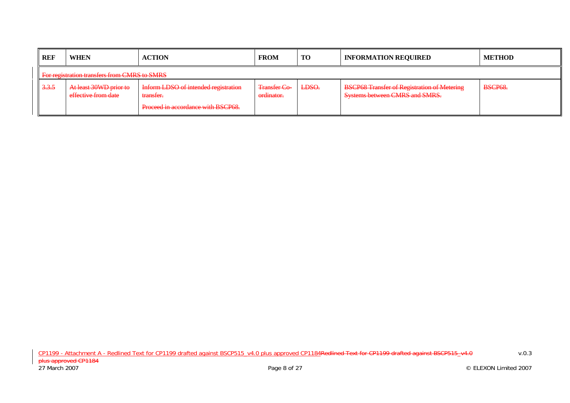| REF                                          | <b>WHEN</b>                                   | <b>ACTION</b>                                                                           | <b>FROM</b>                      | TО    | <b>INFORMATION REQUIRED</b>                                                          | <b>METHOD</b>  |  |  |
|----------------------------------------------|-----------------------------------------------|-----------------------------------------------------------------------------------------|----------------------------------|-------|--------------------------------------------------------------------------------------|----------------|--|--|
| For registration transfers from CMRS to SMRS |                                               |                                                                                         |                                  |       |                                                                                      |                |  |  |
| <del>3.3.5</del>                             | At least 30WD prior to<br>effective from date | Inform LDSO of intended registration<br>transfer.<br>Proceed in accordance with BSCP68. | <b>Transfer Co</b><br>ordinator. | LDSO. | <b>BSCP68 Transfer of Registration of Metering</b><br>Systems between CMRS and SMRS. | <b>BSCP68.</b> |  |  |

CP1199 - Attachment A - Redlined Text for CP1199 drafted against BSCP515\_v4.0 plus approved CP1184Redlined Text for CP1199 drafted against BSCP515\_v4.0 plus approved CP1184 27 March 2007 Page 8 of 27 © ELEXON Limited 2007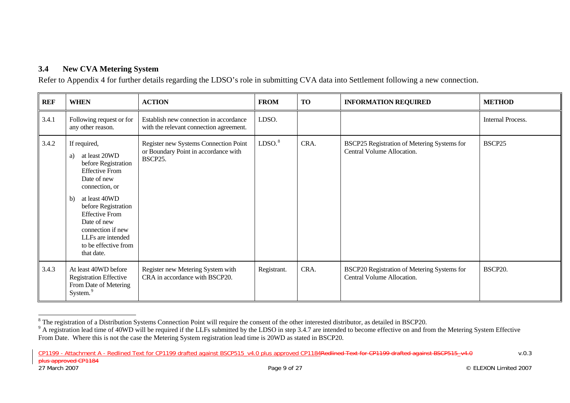#### **3.4New CVA Metering System**

Refer to Appendix 4 for further details regarding the LDSO's role in submitting CVA data into Settlement following a new connection.

| <b>REF</b> | <b>WHEN</b>                                                                                                                                                                                                                                                                                | <b>ACTION</b>                                                                            | <b>FROM</b>        | TO   | <b>INFORMATION REQUIRED</b>                                               | <b>METHOD</b>     |
|------------|--------------------------------------------------------------------------------------------------------------------------------------------------------------------------------------------------------------------------------------------------------------------------------------------|------------------------------------------------------------------------------------------|--------------------|------|---------------------------------------------------------------------------|-------------------|
| 3.4.1      | Following request or for<br>any other reason.                                                                                                                                                                                                                                              | Establish new connection in accordance<br>with the relevant connection agreement.        | LDSO.              |      |                                                                           | Internal Process. |
| 3.4.2      | If required,<br>at least 20WD<br>a)<br>before Registration<br><b>Effective From</b><br>Date of new<br>connection, or<br>at least 40WD<br>b)<br>before Registration<br><b>Effective From</b><br>Date of new<br>connection if new<br>LLFs are intended<br>to be effective from<br>that date. | Register new Systems Connection Point<br>or Boundary Point in accordance with<br>BSCP25. | LDSO. <sup>8</sup> | CRA. | BSCP25 Registration of Metering Systems for<br>Central Volume Allocation. | BSCP25            |
| 3.4.3      | At least 40WD before<br><b>Registration Effective</b><br>From Date of Metering<br>System. <sup>9</sup>                                                                                                                                                                                     | Register new Metering System with<br>CRA in accordance with BSCP20.                      | Registrant.        | CRA. | BSCP20 Registration of Metering Systems for<br>Central Volume Allocation. | BSCP20.           |

 $8$  The registration of a Distribution Systems Connection Point will require the consent of the other interested distributor, as detailed in BSCP20.

 $9$  A registration lead time of 40WD will be required if the LLFs submitted by the LDSO in step 3.4.7 are intended to become effective on and from the Metering System Effective From Date. Where this is not the case the Metering System registration lead time is 20WD as stated in BSCP20.

CP1199 - Attachment A - Redlined Text for CP1199 drafted against BSCP515\_v4.0 plus approved CP1184Redlined Text for CP1199 drafted against BSCP515\_v4.0 plus approved CP1184<br>27 March 2007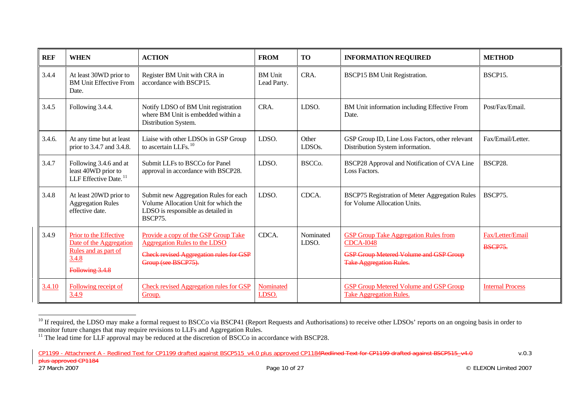| <b>REF</b> | <b>WHEN</b>                                                                                           | <b>ACTION</b>                                                                                                                                         | <b>FROM</b>                   | <b>TO</b>                    | <b>INFORMATION REQUIRED</b>                                                                                                                  | <b>METHOD</b>               |
|------------|-------------------------------------------------------------------------------------------------------|-------------------------------------------------------------------------------------------------------------------------------------------------------|-------------------------------|------------------------------|----------------------------------------------------------------------------------------------------------------------------------------------|-----------------------------|
| 3.4.4      | At least 30WD prior to<br><b>BM Unit Effective From</b><br>Date.                                      | Register BM Unit with CRA in<br>accordance with BSCP15.                                                                                               | <b>BM</b> Unit<br>Lead Party. | CRA.                         | <b>BSCP15 BM Unit Registration.</b>                                                                                                          | BSCP15.                     |
| 3.4.5      | Following 3.4.4.                                                                                      | Notify LDSO of BM Unit registration<br>where BM Unit is embedded within a<br>Distribution System.                                                     | CRA.                          | LDSO.                        | BM Unit information including Effective From<br>Date.                                                                                        | Post/Fax/Email.             |
| 3.4.6.     | At any time but at least<br>prior to 3.4.7 and 3.4.8.                                                 | Liaise with other LDSOs in GSP Group<br>to ascertain LLFs. <sup>10</sup>                                                                              | LDSO.                         | Other<br>LDSO <sub>s</sub> . | GSP Group ID, Line Loss Factors, other relevant<br>Distribution System information.                                                          | Fax/Email/Letter.           |
| 3.4.7      | Following 3.4.6 and at<br>least 40WD prior to<br>LLF Effective Date. <sup>11</sup>                    | Submit LLFs to BSCCo for Panel<br>approval in accordance with BSCP28.                                                                                 | LDSO.                         | BSCCo.                       | BSCP28 Approval and Notification of CVA Line<br>Loss Factors.                                                                                | BSCP28.                     |
| 3.4.8      | At least 20WD prior to<br><b>Aggregation Rules</b><br>effective date.                                 | Submit new Aggregation Rules for each<br>Volume Allocation Unit for which the<br>LDSO is responsible as detailed in<br>BSCP75.                        | LDSO.                         | CDCA.                        | <b>BSCP75 Registration of Meter Aggregation Rules</b><br>for Volume Allocation Units.                                                        | BSCP75.                     |
| 3.4.9      | Prior to the Effective<br>Date of the Aggregation<br>Rules and as part of<br>3.4.8<br>Following 3.4.8 | Provide a copy of the GSP Group Take<br><b>Aggregation Rules to the LDSO</b><br><b>Check revised Aggregation rules for GSP</b><br>Group (see BSCP75). | CDCA.                         | Nominated<br>LDSO.           | <b>GSP Group Take Aggregation Rules from</b><br>CDCA-I048<br><b>GSP Group Metered Volume and GSP Group</b><br><b>Take Aggregation Rules.</b> | Fax/Letter/Email<br>BSCP75. |
| 3.4.10     | Following receipt of<br>3.4.9                                                                         | Check revised Aggregation rules for GSP<br>Group.                                                                                                     | <b>Nominated</b><br>LDSO.     |                              | <b>GSP Group Metered Volume and GSP Group</b><br><b>Take Aggregation Rules.</b>                                                              | <b>Internal Process</b>     |

<sup>&</sup>lt;sup>10</sup> If required, the LDSO may make a formal request to BSCCo via BSCP41 (Report Requests and Authorisations) to receive other LDSOs' reports on an ongoing basis in order to monitor future changes that may require revisions to LLFs and Aggregation Rules.

<sup>&</sup>lt;sup>11</sup> The lead time for LLF approval may be reduced at the discretion of BSCCo in accordance with BSCP28.

CP1199 - Attachment A - Redlined Text for CP1199 drafted against BSCP515\_v4.0 plus approved CP1184Redlined Text for CP1199 drafted against BSCP515\_v4.0 plus approved CP1184<br>27 March 2007 Page 10 of 27 © ELEXON Limited 2007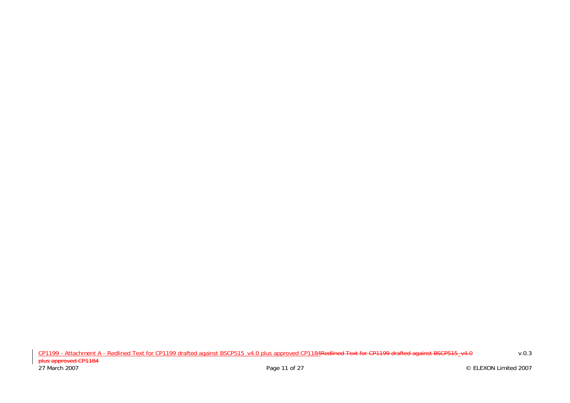CP1199 - Attachment A - Redlined Text for CP1199 drafted against BSCP515\_v4.0 plus approved CP1184Redlined Text for CP1199 drafted against BSCP515\_v4.0 plus approved CP1184 27 March 2007 Page 11 of 27 © ELEXON Limited 2007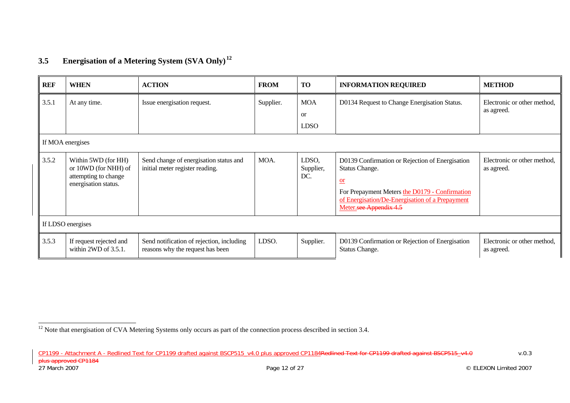| <b>REF</b> | <b>WHEN</b>                                                                                 | <b>ACTION</b>                                                                 | <b>FROM</b> | <b>TO</b>                              | <b>INFORMATION REQUIRED</b>                                                                                                                                                                                       | <b>METHOD</b>                             |  |  |  |
|------------|---------------------------------------------------------------------------------------------|-------------------------------------------------------------------------------|-------------|----------------------------------------|-------------------------------------------------------------------------------------------------------------------------------------------------------------------------------------------------------------------|-------------------------------------------|--|--|--|
| 3.5.1      | At any time.                                                                                | Issue energisation request.                                                   | Supplier.   | <b>MOA</b><br><b>or</b><br><b>LDSO</b> | D0134 Request to Change Energisation Status.                                                                                                                                                                      | Electronic or other method,<br>as agreed. |  |  |  |
|            | If MOA energises                                                                            |                                                                               |             |                                        |                                                                                                                                                                                                                   |                                           |  |  |  |
| 3.5.2      | Within 5WD (for HH)<br>or 10WD (for NHH) of<br>attempting to change<br>energisation status. | Send change of energisation status and<br>initial meter register reading.     | MOA.        | LDSO,<br>Supplier,<br>DC.              | D0139 Confirmation or Rejection of Energisation<br>Status Change.<br>$\mathbf{or}$<br>For Prepayment Meters the D0179 - Confirmation<br>of Energisation/De-Energisation of a Prepayment<br>Meter.see Appendix 4.5 | Electronic or other method,<br>as agreed. |  |  |  |
|            | If LDSO energises                                                                           |                                                                               |             |                                        |                                                                                                                                                                                                                   |                                           |  |  |  |
| 3.5.3      | If request rejected and<br>within $2WD$ of $3.5.1$ .                                        | Send notification of rejection, including<br>reasons why the request has been | LDSO.       | Supplier.                              | D0139 Confirmation or Rejection of Energisation<br>Status Change.                                                                                                                                                 | Electronic or other method,<br>as agreed. |  |  |  |

#### **3.5**Energisation of a Metering System (SVA Only)<sup>12</sup>

<sup>&</sup>lt;sup>12</sup> Note that energisation of CVA Metering Systems only occurs as part of the connection process described in section 3.4.

CP1199 - Attachment A - Redlined Text for CP1199 drafted against BSCP515\_v4.0 plus approved CP1184Redlined Text for CP1199 drafted against BSCP515\_v4.0 plus approved CP1184<br>27 March 2007 Page 12 of 27 **Decision** 2007 **CELEXON Limited 2007**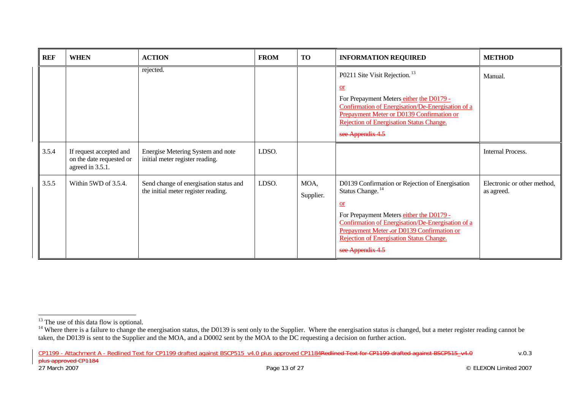| <b>REF</b> | <b>WHEN</b>                                                             | <b>ACTION</b>                                                                 | <b>FROM</b> | <b>TO</b>         | <b>INFORMATION REQUIRED</b>                                                                                                                                                                                                                                                                                                           | <b>METHOD</b>                             |
|------------|-------------------------------------------------------------------------|-------------------------------------------------------------------------------|-------------|-------------------|---------------------------------------------------------------------------------------------------------------------------------------------------------------------------------------------------------------------------------------------------------------------------------------------------------------------------------------|-------------------------------------------|
|            |                                                                         | rejected.                                                                     |             |                   | P0211 Site Visit Rejection. <sup>13</sup><br>$\mathbf{or}$<br>For Prepayment Meters either the D0179 -<br>Confirmation of Energisation/De-Energisation of a<br>Prepayment Meter or D0139 Confirmation or<br>Rejection of Energisation Status Change.<br>see Appendix 4.5                                                              | Manual.                                   |
| 3.5.4      | If request accepted and<br>on the date requested or<br>agreed in 3.5.1. | Energise Metering System and note<br>initial meter register reading.          | LDSO.       |                   |                                                                                                                                                                                                                                                                                                                                       | Internal Process.                         |
| 3.5.5      | Within 5WD of 3.5.4.                                                    | Send change of energisation status and<br>the initial meter register reading. | LDSO.       | MOA,<br>Supplier. | D0139 Confirmation or Rejection of Energisation<br>Status Change. <sup>14</sup><br>$\underline{\underline{\text{or}}}$<br>For Prepayment Meters either the D0179 -<br>Confirmation of Energisation/De-Energisation of a<br>Prepayment Meter -or D0139 Confirmation or<br>Rejection of Energisation Status Change.<br>see Appendix 4.5 | Electronic or other method,<br>as agreed. |

<sup>&</sup>lt;sup>13</sup> The use of this data flow is optional.

<sup>&</sup>lt;sup>14</sup> Where there is a failure to change the energisation status, the D0139 is sent only to the Supplier. Where the energisation status *is* changed, but a meter register reading cannot be taken, the D0139 is sent to the Supplier and the MOA, and a D0002 sent by the MOA to the DC requesting a decision on further action.

CP1199 - Attachment A - Redlined Text for CP1199 drafted against BSCP515\_v4.0 plus approved CP1184Redlined Text for CP1199 drafted against BSCP515\_v4.0 plus approved CP1184<br>27 March 2007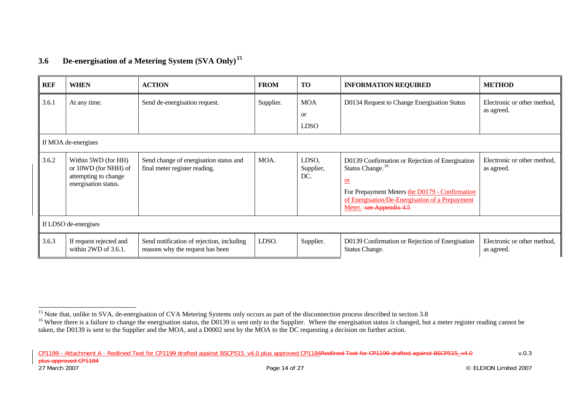| <b>REF</b> | <b>WHEN</b>                                                                                 | <b>ACTION</b>                                                                 | <b>FROM</b> | <b>TO</b>                       | <b>INFORMATION REQUIRED</b>                                                                                                                                                                                             | <b>METHOD</b>                             |  |  |  |
|------------|---------------------------------------------------------------------------------------------|-------------------------------------------------------------------------------|-------------|---------------------------------|-------------------------------------------------------------------------------------------------------------------------------------------------------------------------------------------------------------------------|-------------------------------------------|--|--|--|
| 3.6.1      | At any time.                                                                                | Send de-energisation request.                                                 | Supplier.   | <b>MOA</b><br>or<br><b>LDSO</b> | D0134 Request to Change Energisation Status                                                                                                                                                                             | Electronic or other method,<br>as agreed. |  |  |  |
|            | If MOA de-energises                                                                         |                                                                               |             |                                 |                                                                                                                                                                                                                         |                                           |  |  |  |
| 3.6.2      | Within 5WD (for HH)<br>or 10WD (for NHH) of<br>attempting to change<br>energisation status. | Send change of energisation status and<br>final meter register reading.       | MOA.        | LDSO,<br>Supplier,<br>DC.       | D0139 Confirmation or Rejection of Energisation<br>Status Change. <sup>16</sup><br>$or$<br>For Prepayment Meters the D0179 - Confirmation<br>of Energisation/De-Energisation of a Prepayment<br>Meter. see Appendix 4.5 | Electronic or other method,<br>as agreed. |  |  |  |
|            | If LDSO de-energises                                                                        |                                                                               |             |                                 |                                                                                                                                                                                                                         |                                           |  |  |  |
| 3.6.3      | If request rejected and<br>within 2WD of 3.6.1.                                             | Send notification of rejection, including<br>reasons why the request has been | LDSO.       | Supplier.                       | D0139 Confirmation or Rejection of Energisation<br>Status Change.                                                                                                                                                       | Electronic or other method,<br>as agreed. |  |  |  |

#### **3.6De-energisation of a Metering System (SVA Only)<sup>15</sup>**

<sup>&</sup>lt;sup>15</sup> Note that, unlike in SVA, de-energisation of CVA Metering Systems only occurs as part of the disconnection process described in section 3.8

<sup>&</sup>lt;sup>16</sup> Where there is a failure to change the energisation status, the D0139 is sent only to the Supplier. Where the energisation status *is* changed, but a meter register reading cannot be taken, the D0139 is sent to the Supplier and the MOA, and a D0002 sent by the MOA to the DC requesting a decision on further action.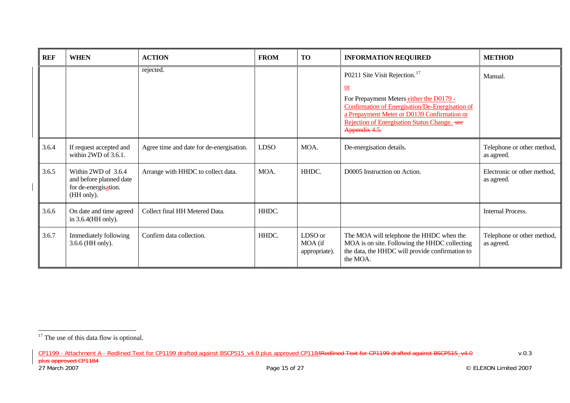| <b>REF</b> | <b>WHEN</b>                                                                          | <b>ACTION</b>                            | <b>FROM</b> | <b>TO</b>                           | <b>INFORMATION REQUIRED</b>                                                                                                                                                                                 | <b>METHOD</b>                             |
|------------|--------------------------------------------------------------------------------------|------------------------------------------|-------------|-------------------------------------|-------------------------------------------------------------------------------------------------------------------------------------------------------------------------------------------------------------|-------------------------------------------|
|            |                                                                                      | rejected.                                |             |                                     | P0211 Site Visit Rejection. <sup>17</sup><br>$or$                                                                                                                                                           | Manual.                                   |
|            |                                                                                      |                                          |             |                                     | For Prepayment Meters either the D0179 -<br>Confirmation of Energisation/De-Energisation of<br>a Prepayment Meter or D0139 Confirmation or<br>Rejection of Energisation Status Change. see<br>Appendix 4.5. |                                           |
| 3.6.4      | If request accepted and<br>within 2WD of 3.6.1.                                      | Agree time and date for de-energisation. | <b>LDSO</b> | MOA.                                | De-energisation details.                                                                                                                                                                                    | Telephone or other method,<br>as agreed.  |
| 3.6.5      | Within 2WD of 3.6.4<br>and before planned date<br>for de-energisation.<br>(HH only). | Arrange with HHDC to collect data.       | MOA.        | HHDC.                               | D0005 Instruction on Action.                                                                                                                                                                                | Electronic or other method,<br>as agreed. |
| 3.6.6      | On date and time agreed<br>in 3.6.4(HH only).                                        | Collect final HH Metered Data.           | HHDC.       |                                     |                                                                                                                                                                                                             | Internal Process.                         |
| 3.6.7      | Immediately following<br>3.6.6 (HH only).                                            | Confirm data collection.                 | HHDC.       | LDSO or<br>MOA (if<br>appropriate). | The MOA will telephone the HHDC when the<br>MOA is on site. Following the HHDC collecting<br>the data, the HHDC will provide confirmation to<br>the MOA.                                                    | Telephone or other method,<br>as agreed.  |

 $\frac{17}{17}$  The use of this data flow is optional.

CP1199 - Attachment A - Redlined Text for CP1199 drafted against BSCP515\_v4.0 plus approved CP1184Redlined Text for CP1199 drafted against BSCP515\_v4.0 plus approved CP1184<br>27 March 2007 Page 15 of 27 **Decision 2007** CDM 2007 **CDM** 2007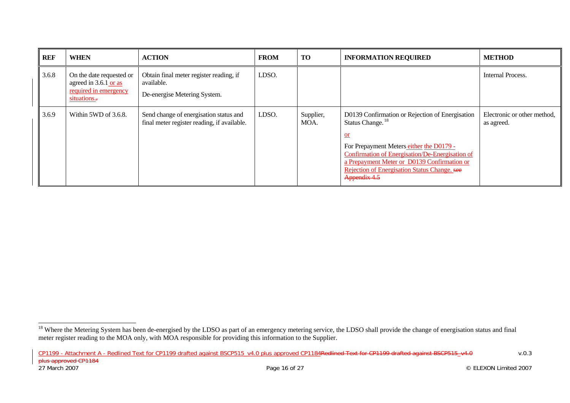| <b>REF</b> | <b>WHEN</b>                                                                               | <b>ACTION</b>                                                                         | <b>FROM</b> | <b>TO</b>         | <b>INFORMATION REQUIRED</b>                                                                                                                                                                                                                                                                           | <b>METHOD</b>                             |
|------------|-------------------------------------------------------------------------------------------|---------------------------------------------------------------------------------------|-------------|-------------------|-------------------------------------------------------------------------------------------------------------------------------------------------------------------------------------------------------------------------------------------------------------------------------------------------------|-------------------------------------------|
| 3.6.8      | On the date requested or<br>agreed in 3.6.1 or as<br>required in emergency<br>situations. | Obtain final meter register reading, if<br>available.<br>De-energise Metering System. | LDSO.       |                   |                                                                                                                                                                                                                                                                                                       | Internal Process.                         |
| 3.6.9      | Within 5WD of 3.6.8.                                                                      | Send change of energisation status and<br>final meter register reading, if available. | LDSO.       | Supplier,<br>MOA. | D0139 Confirmation or Rejection of Energisation<br>Status Change. <sup>18</sup><br>$or$<br>For Prepayment Meters either the D0179 -<br>Confirmation of Energisation/De-Energisation of<br>a Prepayment Meter or D0139 Confirmation or<br>Rejection of Energisation Status Change. see<br>Appendix 4.5 | Electronic or other method,<br>as agreed. |

<sup>&</sup>lt;sup>18</sup> Where the Metering System has been de-energised by the LDSO as part of an emergency metering service, the LDSO shall provide the change of energisation status and final meter register reading to the MOA only, with MOA responsible for providing this information to the Supplier.

CP1199 - Attachment A - Redlined Text for CP1199 drafted against BSCP515\_v4.0 plus approved CP1184Redlined Text for CP1199 drafted against BSCP515\_v4.0 plus approved CP1184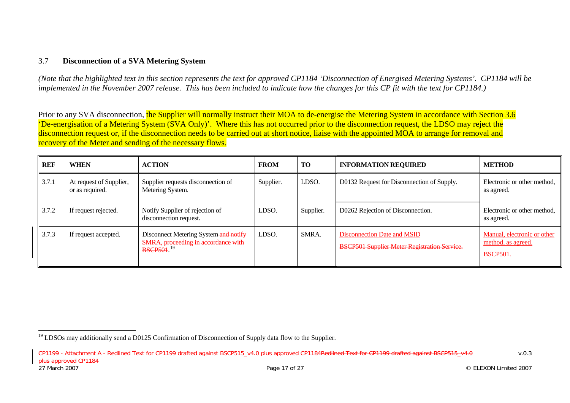#### 3.7**Disconnection of a SVA Metering System**

*(Note that the highlighted text in this section represents the text for approved CP1184 'Disconnection of Energised Metering Systems'. CP1184 will be implemented in the November 2007 release. This has been included to indicate how the changes for this CP fit with the text for CP1184.)* 

Prior to any SVA disconnection, the Supplier will normally instruct their MOA to de-energise the Metering System in accordance with Section 3.6 'De-energisation of a Metering System (SVA Only)'. Where this has not occurred prior to the disconnection request, the LDSO may reject the disconnection request or, if the disconnection needs to be carried out at short notice, liaise with the appointed MOA to arrange for removal and recovery of the Meter and sending of the necessary flows.

| <b>REF</b> | <b>WHEN</b>                                | <b>ACTION</b>                                                                                                         | <b>FROM</b> | TO        | <b>INFORMATION REQUIRED</b>                                                        | <b>METHOD</b>                                                        |
|------------|--------------------------------------------|-----------------------------------------------------------------------------------------------------------------------|-------------|-----------|------------------------------------------------------------------------------------|----------------------------------------------------------------------|
| 3.7.1      | At request of Supplier,<br>or as required. | Supplier requests disconnection of<br>Metering System.                                                                | Supplier.   | LDSO.     | D0132 Request for Disconnection of Supply.                                         | Electronic or other method.<br>as agreed.                            |
| 3.7.2      | If request rejected.                       | Notify Supplier of rejection of<br>disconnection request.                                                             | LDSO.       | Supplier. | D0262 Rejection of Disconnection.                                                  | Electronic or other method.<br>as agreed.                            |
| 3.7.3      | If request accepted.                       | Disconnect Metering System and notify<br>SMRA, proceeding in accordance with<br>BSCP5 $\overline{01}$ . <sup>19</sup> | LDSO.       | SMRA.     | Disconnection Date and MSID<br><b>BSCP501 Supplier Meter Registration Service.</b> | Manual, electronic or other<br>method, as agreed.<br><b>BSCP501.</b> |

<sup>&</sup>lt;sup>19</sup> LDSOs may additionally send a D0125 Confirmation of Disconnection of Supply data flow to the Supplier.

CP1199 - Attachment A - Redlined Text for CP1199 drafted against BSCP515\_v4.0 plus approved CP1184Redlined Text for CP1199 drafted against BSCP515\_v4.0 plus approved CP1184<br>27 March 2007 27 March 2007 Page 17 of 27 © ELEXON Limited 2007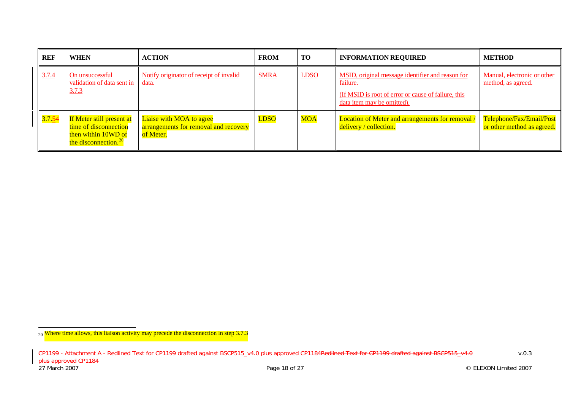| <b>REF</b> | <b>WHEN</b>                                                                                                          | <b>ACTION</b>                                                                         | <b>FROM</b> | <b>TO</b>   | <b>INFORMATION REQUIRED</b>                                                                                                                       | <b>METHOD</b>                                          |
|------------|----------------------------------------------------------------------------------------------------------------------|---------------------------------------------------------------------------------------|-------------|-------------|---------------------------------------------------------------------------------------------------------------------------------------------------|--------------------------------------------------------|
| 3.7.4      | On unsuccessful<br>validation of data sent in<br>3.7.3                                                               | Notify originator of receipt of invalid<br>data.                                      | <b>SMRA</b> | <b>LDSO</b> | MSID, original message identifier and reason for<br>failure.<br>(If MSID is root of error or cause of failure, this<br>data item may be omitted). | Manual, electronic or other<br>method, as agreed.      |
| 3.7.54     | <b>If Meter still present at</b><br>time of disconnection<br>then within 10WD of<br>the disconnection. <sup>20</sup> | <b>Liaise with MOA to agree</b><br>arrangements for removal and recovery<br>of Meter. | <b>LDSO</b> | <b>MOA</b>  | <b>Location of Meter and arrangements for removal</b><br>delivery / collection.                                                                   | Telephone/Fax/Email/Post<br>or other method as agreed. |

 $_{20}$  Where time allows, this liaison activity may precede the disconnection in step 3.7.3

CP1199 - Attachment A - Redlined Text for CP1199 drafted against BSCP515\_v4.0 plus approved CP1184Redlined Text for CP1199 drafted against BSCP515\_v4.0 plus approved CP1184 Page 18 of 27 **Decision 2007** CDM 2007 **CDM** 2007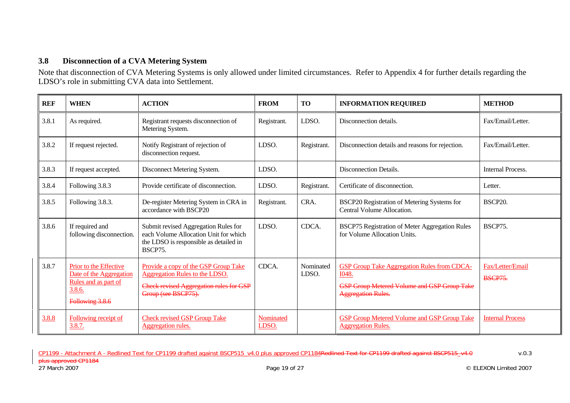#### **3.8Disconnection of a CVA Metering System**

Note that disconnection of CVA Metering Systems is only allowed under limited circumstances. Refer to Appendix 4 for further details regarding the LDSO's role in submitting CVA data into Settlement.

| <b>REF</b> | <b>WHEN</b>                                                                                            | <b>ACTION</b>                                                                                                                                          | <b>FROM</b>        | <b>TO</b>          | <b>INFORMATION REQUIRED</b>                                                                                                                    | <b>METHOD</b>                      |
|------------|--------------------------------------------------------------------------------------------------------|--------------------------------------------------------------------------------------------------------------------------------------------------------|--------------------|--------------------|------------------------------------------------------------------------------------------------------------------------------------------------|------------------------------------|
| 3.8.1      | As required.                                                                                           | Registrant requests disconnection of<br>Metering System.                                                                                               | Registrant.        | LDSO.              | Disconnection details.                                                                                                                         | Fax/Email/Letter.                  |
| 3.8.2      | If request rejected.                                                                                   | Notify Registrant of rejection of<br>disconnection request.                                                                                            | LDSO.              | Registrant.        | Disconnection details and reasons for rejection.                                                                                               | Fax/Email/Letter.                  |
| 3.8.3      | If request accepted.                                                                                   | Disconnect Metering System.                                                                                                                            | LDSO.              |                    | <b>Disconnection Details.</b>                                                                                                                  | <b>Internal Process.</b>           |
| 3.8.4      | Following 3.8.3                                                                                        | Provide certificate of disconnection.                                                                                                                  | LDSO.              | Registrant.        | Certificate of disconnection.                                                                                                                  | Letter.                            |
| 3.8.5      | Following 3.8.3.                                                                                       | De-register Metering System in CRA in<br>accordance with BSCP20                                                                                        | Registrant.        | CRA.               | BSCP20 Registration of Metering Systems for<br>Central Volume Allocation.                                                                      | BSCP20.                            |
| 3.8.6      | If required and<br>following disconnection.                                                            | Submit revised Aggregation Rules for<br>each Volume Allocation Unit for which<br>the LDSO is responsible as detailed in<br>BSCP75.                     | LDSO.              | CDCA.              | <b>BSCP75 Registration of Meter Aggregation Rules</b><br>for Volume Allocation Units.                                                          | BSCP75.                            |
| 3.8.7      | Prior to the Effective<br>Date of the Aggregation<br>Rules and as part of<br>3.8.6.<br>Following 3.8.6 | Provide a copy of the GSP Group Take<br><b>Aggregation Rules to the LDSO.</b><br><b>Check revised Aggregation rules for GSP</b><br>Group (see BSCP75). | CDCA.              | Nominated<br>LDSO. | <b>GSP Group Take Aggregation Rules from CDCA-</b><br>I048.<br><b>GSP Group Metered Volume and GSP Group Take</b><br><b>Aggregation Rules.</b> | Fax/Letter/Email<br><b>BSCP75.</b> |
| 3.8.8      | Following receipt of<br>3.8.7.                                                                         | <b>Check revised GSP Group Take</b><br><b>Aggregation rules.</b>                                                                                       | Nominated<br>LDSO. |                    | <b>GSP Group Metered Volume and GSP Group Take</b><br><b>Aggregation Rules.</b>                                                                | <b>Internal Process</b>            |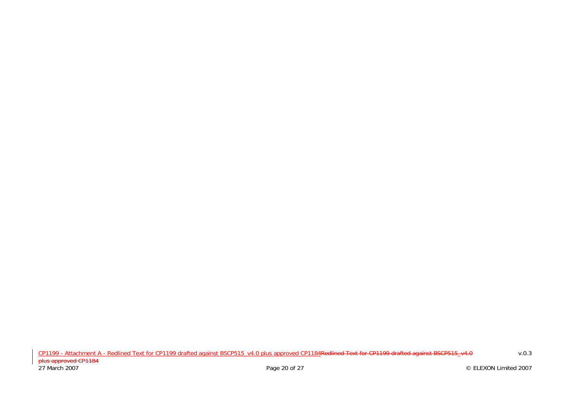CP1199 - Attachment A - Redlined Text for CP1199 drafted against BSCP515\_v4.0 plus approved CP1184Redlined Text for CP1199 drafted against BSCP515\_v4.0 plus approved CP1184 27 March 2007 Page 20 of 27 © ELEXON Limited 2007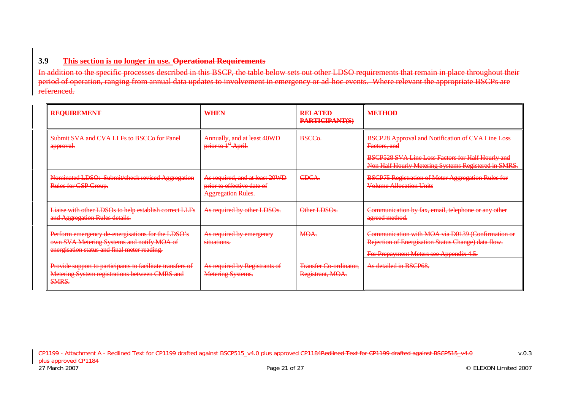#### **3.9This section is no longer in use***.* **Operational Requirements**

In addition to the specific processes described in this BSCP, the table below sets out other LDSO requirements that remain in place throughout their period of operation, ranging from annual data updates to involvement in emergency or ad-hoc events. Where relevant the appropriate BSCPs are referenced.

| REQUIREMENT                                                                                                                                     | WHEN                                                                                      | <b>RELATED</b><br>PARTICIPANT(S)                  | <b>METHOD</b>                                                                                                                                                                               |
|-------------------------------------------------------------------------------------------------------------------------------------------------|-------------------------------------------------------------------------------------------|---------------------------------------------------|---------------------------------------------------------------------------------------------------------------------------------------------------------------------------------------------|
| Submit SVA and CVA LLFs to BSCCo for Panel<br>approval.                                                                                         | Annually, and at least 40WD<br>prior to 1 <sup>st</sup> April.                            | BSCCo.                                            | <b>BSCP28 Approval and Notification of CVA Line Loss</b><br>Factors, and<br><b>BSCP528 SVA Line Loss Factors for Half Hourly and</b><br>Non Half Hourly Metering Systems Registered in SMRS |
| Nominated LDSO: Submit/check revised Aggregation<br>Rules for GSP Group.                                                                        | As required, and at least 20WD<br>prior to effective date of<br><b>Aggregation Rules.</b> | CDCA.                                             | <b>BSCP75 Registration of Meter Aggregation Rules for</b><br><b>Volume Allocation Units</b>                                                                                                 |
| Liaise with other LDSOs to help establish correct LLFs<br>and Aggregation Rules details.                                                        | As required by other LDSOs.                                                               | Other LDSOs.                                      | Communication by fax, email, telephone or any other<br>agreed method.                                                                                                                       |
| Perform emergency de energisations for the LDSO's<br>own SVA Metering Systems and notify MOA of<br>energisation status and final meter reading. | As required by emergency<br>situations.                                                   | MOA.                                              | Communication with MOA via D0139 (Confirmation or<br>Rejection of Energisation Status Change) data flow.<br>For Prepayment Meters see Appendix 4.5.                                         |
| Provide support to participants to facilitate transfers of<br>Metering System registrations between CMRS and<br>SMRS.                           | As required by Registrants of<br><b>Metering Systems.</b>                                 | <b>Transfer Co ordinator,</b><br>Registrant, MOA. | As detailed in BSCP68                                                                                                                                                                       |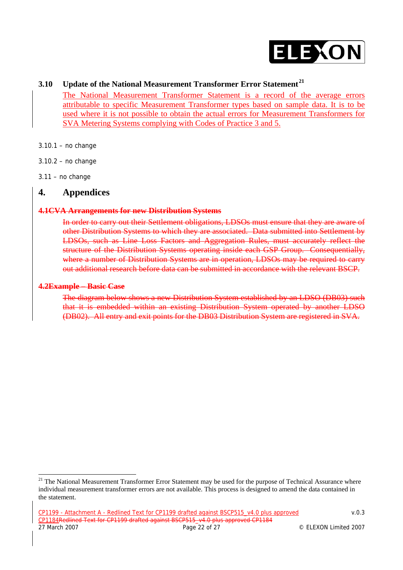

## **3.10** Update of the National Measurement Transformer Error Statement<sup>21</sup>

The National Measurement Transformer Statement is a record of the average errors attributable to specific Measurement Transformer types based on sample data. It is to be used where it is not possible to obtain the actual errors for Measurement Transformers for SVA Metering Systems complying with Codes of Practice 3 and 5.

- 3.10.1 no change
- 3.10.2 no change
- 3.11 no change

## **4. Appendices**

### **4.1CVA Arrangements for new Distribution Systems**

In order to carry out their Settlement obligations, LDSOs must ensure that they are aware of other Distribution Systems to which they are associated. Data submitted into Settlement by LDSOs, such as Line Loss Factors and Aggregation Rules, must accurately reflect the structure of the Distribution Systems operating inside each GSP Group. Consequentially, where a number of Distribution Systems are in operation, LDSOs may be required to carry out additional research before data can be submitted in accordance with the relevant BSCP.

### **4.2Example – Basic Case**

l

The diagram below shows a new Distribution System established by an LDSO (DB03) such that it is embedded within an existing Distribution System operated by another LDSO (DB02). All entry and exit points for the DB03 Distribution System are registered in SVA.

<sup>&</sup>lt;sup>21</sup> The National Measurement Transformer Error Statement may be used for the purpose of Technical Assurance where individual measurement transformer errors are not available. This process is designed to amend the data contained in the statement.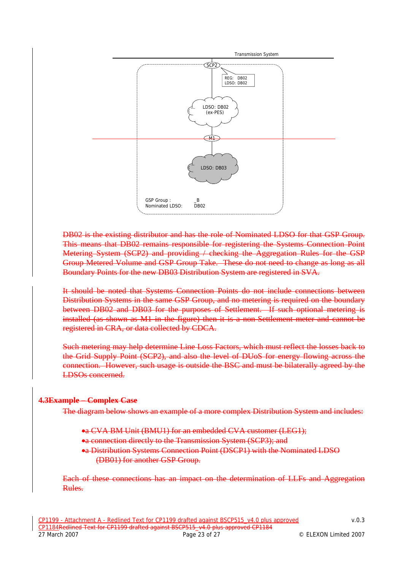

DB02 is the existing distributor and has the role of Nominated LDSO for that GSP Group. This means that DB02 remains responsible for registering the Systems Connection Point Metering System (SCP2) and providing / checking the Aggregation Rules for the GSP Group Metered Volume and GSP Group Take. These do not need to change as long as all Boundary Points for the new DB03 Distribution System are registered in SVA.

It should be noted that Systems Connection Points do not include connections between Distribution Systems in the same GSP Group, and no metering is required on the boundary between DB02 and DB03 for the purposes of Settlement. If such optional metering is installed (as shown as M1 in the figure) then it is a non-Settlement meter and cannot be registered in CRA, or data collected by CDCA.

Such metering may help determine Line Loss Factors, which must reflect the losses back to the Grid Supply Point (SCP2), and also the level of DUoS for energy flowing across the connection. However, such usage is outside the BSC and must be bilaterally agreed by the LDSOs concerned.

## **4.3Example – Complex Case**

The diagram below shows an example of a more complex Distribution System and includes:

- a CVA BM Unit (BMU1) for an embedded CVA customer (LEG1);
- •a connection directly to the Transmission System (SCP3); and

•a Distribution Systems Connection Point (DSCP1) with the Nominated LDSO (DB01) for another GSP Group.

Each of these connections has an impact on the determination of LLFs and Aggregation Rules.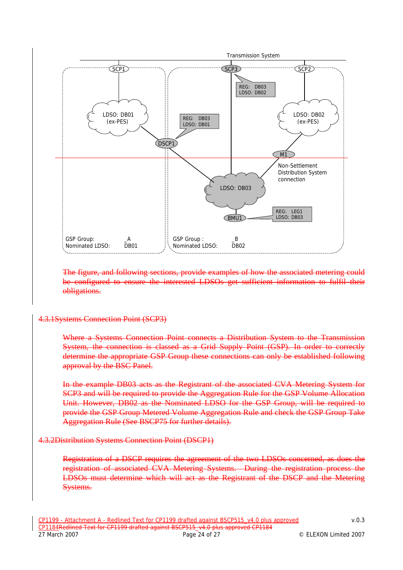

The figure, and following sections, provide examples of how the associated metering could be configured to ensure the interested LDSOs get sufficient information to fulfil their obligations.

## 4.3.1Systems Connection Point (SCP3)

Where a Systems Connection Point connects a Distribution System to the Transmission System, the connection is classed as a Grid Supply Point (GSP). In order to correctly determine the appropriate GSP Group these connections can only be established following approval by the BSC Panel.

In the example DB03 acts as the Registrant of the associated CVA Metering System for SCP3 and will be required to provide the Aggregation Rule for the GSP Volume Allocation Unit. However, DB02 as the Nominated LDSO for the GSP Group, will be required to provide the GSP Group Metered Volume Aggregation Rule and check the GSP Group Take Aggregation Rule (See BSCP75 for further details).

## 4.3.2Distribution Systems Connection Point (DSCP1)

Registration of a DSCP requires the agreement of the two LDSOs concerned, as does the registration of associated CVA Metering Systems. During the registration process the LDSOs must determine which will act as the Registrant of the DSCP and the Metering Systems.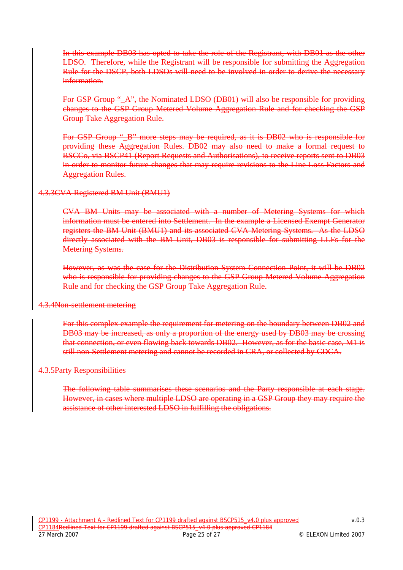In this example DB03 has opted to take the role of the Registrant, with DB01 as the other LDSO. Therefore, while the Registrant will be responsible for submitting the Aggregation Rule for the DSCP, both LDSOs will need to be involved in order to derive the necessary information.

For GSP Group " A", the Nominated LDSO (DB01) will also be responsible for providing changes to the GSP Group Metered Volume Aggregation Rule and for checking the GSP Group Take Aggregation Rule.

For GSP Group "\_B" more steps may be required, as it is DB02 who is responsible for providing these Aggregation Rules. DB02 may also need to make a formal request to BSCCo, via BSCP41 (Report Requests and Authorisations), to receive reports sent to DB03 in order to monitor future changes that may require revisions to the Line Loss Factors and Aggregation Rules.

## 4.3.3CVA Registered BM Unit (BMU1)

CVA BM Units may be associated with a number of Metering Systems for which information must be entered into Settlement. In the example a Licensed Exempt Generator registers the BM Unit (BMU1) and its associated CVA Metering Systems. As the LDSO directly associated with the BM Unit, DB03 is responsible for submitting LLFs for the Metering Systems.

However, as was the case for the Distribution System Connection Point, it will be DB02 who is responsible for providing changes to the GSP Group Metered Volume Aggregation Rule and for checking the GSP Group Take Aggregation Rule.

### 4.3.4Non-settlement metering

For this complex example the requirement for metering on the boundary between DB02 and DB03 may be increased, as only a proportion of the energy used by DB03 may be crossing that connection, or even flowing back towards DB02. However, as for the basic case, M1 is still non-Settlement metering and cannot be recorded in CRA, or collected by CDCA.

### 4.3.5Party Responsibilities

The following table summarises these scenarios and the Party responsible at each stage. However, in cases where multiple LDSO are operating in a GSP Group they may require the assistance of other interested LDSO in fulfilling the obligations.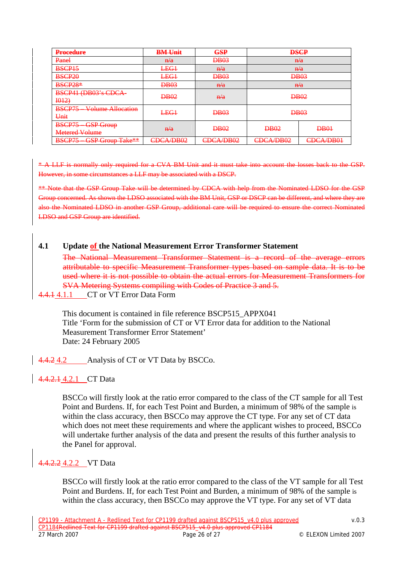| <b>Procedure</b>                                                                  | <b>BM Unit</b>                      | <b>GSP</b>                         | <b>DSCP</b>                         |                                        |  |
|-----------------------------------------------------------------------------------|-------------------------------------|------------------------------------|-------------------------------------|----------------------------------------|--|
| <b>Panel</b>                                                                      | H/a                                 | <b>DB03</b>                        |                                     | n/a                                    |  |
| BSCP <sub>15</sub>                                                                | LEG1                                | H/a                                |                                     | H/a                                    |  |
| BSCP <sub>20</sub>                                                                | LEG <sub>1</sub>                    | <b>DB03</b>                        |                                     | <b>DB03</b>                            |  |
| $RCD28*$<br><del>DOCL 20</del>                                                    | DRO <sub>3</sub><br><del>DDUJ</del> | H/a                                |                                     | $H\!H\!A$                              |  |
| $RCD41/DR03$ <sup>2</sup> $CDCA$<br><del>DJCH HDDVJ SCDC/T</del>                  | <b>DB02</b>                         |                                    | <b>DB02</b>                         |                                        |  |
| 1012<br>101Z)                                                                     |                                     | H/a                                |                                     |                                        |  |
| <b>BSCP75</b> - Volume Allocation                                                 | LEG1                                | <b>DB03</b>                        |                                     |                                        |  |
| Unit                                                                              |                                     |                                    | <b>DB03</b>                         |                                        |  |
| <b>BSCP75 GSP Group</b>                                                           |                                     | DROO                               | DROO                                | $D$ <sub>D</sub> $\Omega$ <sub>1</sub> |  |
| <b>Metered Volume</b>                                                             | H/a                                 | 1717172                            | 1717.TZ                             | <del>1713171</del>                     |  |
| PCCD75<br>$GSDG$ roun $Taka$ **<br><del>obr onvud rake</del><br><del>DOG 75</del> | CDCA/DRO2<br><del>odan dibua</del>  | CDCA/DRO2<br><del>odan dibua</del> | CDCA/DR02<br><del>obtornativa</del> | CDCA/DRO1<br><del>obton bout</del>     |  |

\* A LLF is normally only required for a CVA BM Unit and it must take into account the losses back to the GSP. However, in some circumstances a LLF may be associated with a DSCP.

\*\* Note that the GSP Group Take will be determined by CDCA with help from the Nominated LDSO for the GSP Group concerned. As shown the LDSO associated with the BM Unit, GSP or DSCP can be different, and where they are also the Nominated LDSO in another GSP Group, additional care will be required to ensure the correct Nominated LDSO and GSP Group are identified.

### **4.1 Update of the National Measurement Error Transformer Statement**

The National Measurement Transformer Statement is a record of the average errors attributable to specific Measurement Transformer types based on sample data. It is to be used where it is not possible to obtain the actual errors for Measurement Transformers for SVA Metering Systems compiling with Codes of Practice 3 and 5.

4.4.1 4.1.1 CT or VT Error Data Form

This document is contained in file reference BSCP515\_APPX041 Title 'Form for the submission of CT or VT Error data for addition to the National Measurement Transformer Error Statement' Date: 24 February 2005

4.4.2 4.2 Analysis of CT or VT Data by BSCCo.

### 4.4.2.1 CT Data

BSCCo will firstly look at the ratio error compared to the class of the CT sample for all Test Point and Burdens. If, for each Test Point and Burden, a minimum of 98% of the sample is within the class accuracy, then BSCCo may approve the CT type. For any set of CT data which does not meet these requirements and where the applicant wishes to proceed, BSCCo will undertake further analysis of the data and present the results of this further analysis to the Panel for approval.

### 4.4.2.2 4.2.2 VT Data

BSCCo will firstly look at the ratio error compared to the class of the VT sample for all Test Point and Burdens. If, for each Test Point and Burden, a minimum of 98% of the sample is within the class accuracy, then BSCCo may approve the VT type. For any set of VT data